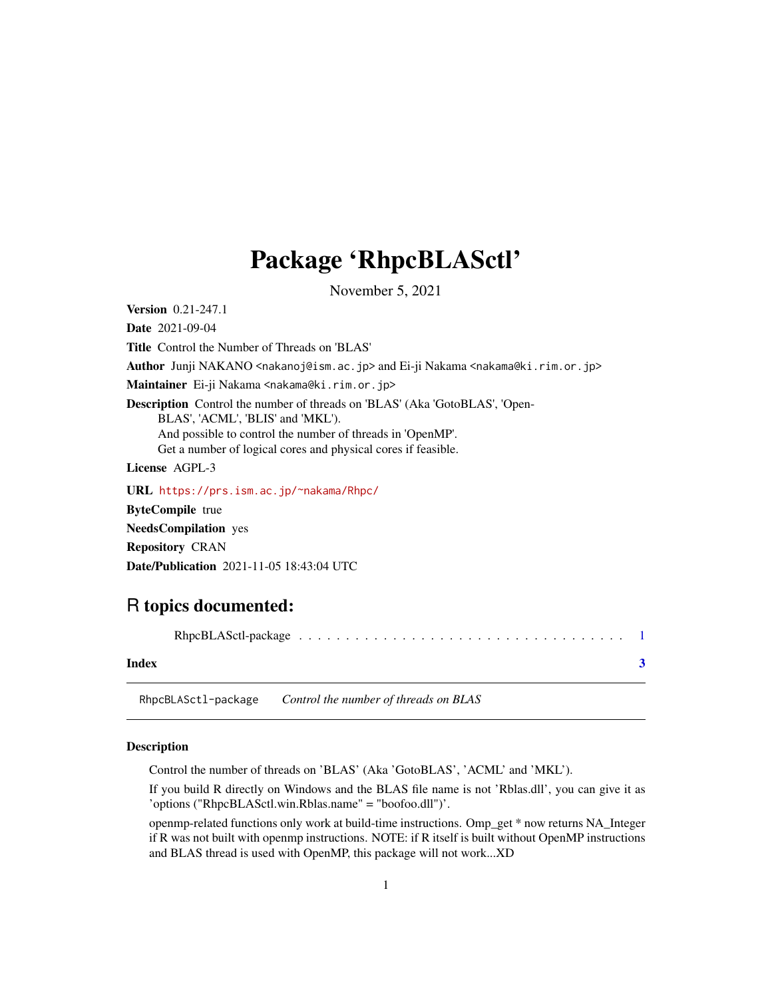## <span id="page-0-0"></span>Package 'RhpcBLASctl'

November 5, 2021

Version 0.21-247.1

Date 2021-09-04

Title Control the Number of Threads on 'BLAS'

Author Junji NAKANO <nakanoj@ism.ac.jp> and Ei-ji Nakama <nakama@ki.rim.or.jp>

Maintainer Ei-ji Nakama <nakama@ki.rim.or.jp>

Description Control the number of threads on 'BLAS' (Aka 'GotoBLAS', 'Open-BLAS', 'ACML', 'BLIS' and 'MKL'). And possible to control the number of threads in 'OpenMP'.

Get a number of logical cores and physical cores if feasible.

License AGPL-3

URL <https://prs.ism.ac.jp/~nakama/Rhpc/> ByteCompile true NeedsCompilation yes Repository CRAN Date/Publication 2021-11-05 18:43:04 UTC

### R topics documented:

RhpcBLASctl-package . . . . . . . . . . . . . . . . . . . . . . . . . . . . . . . . . . . [1](#page-0-0)

#### **Index** [3](#page-2-0)

RhpcBLASctl-package *Control the number of threads on BLAS*

#### Description

Control the number of threads on 'BLAS' (Aka 'GotoBLAS', 'ACML' and 'MKL').

If you build R directly on Windows and the BLAS file name is not 'Rblas.dll', you can give it as 'options ("RhpcBLASctl.win.Rblas.name" = "boofoo.dll")'.

openmp-related functions only work at build-time instructions. Omp\_get \* now returns NA\_Integer if R was not built with openmp instructions. NOTE: if R itself is built without OpenMP instructions and BLAS thread is used with OpenMP, this package will not work...XD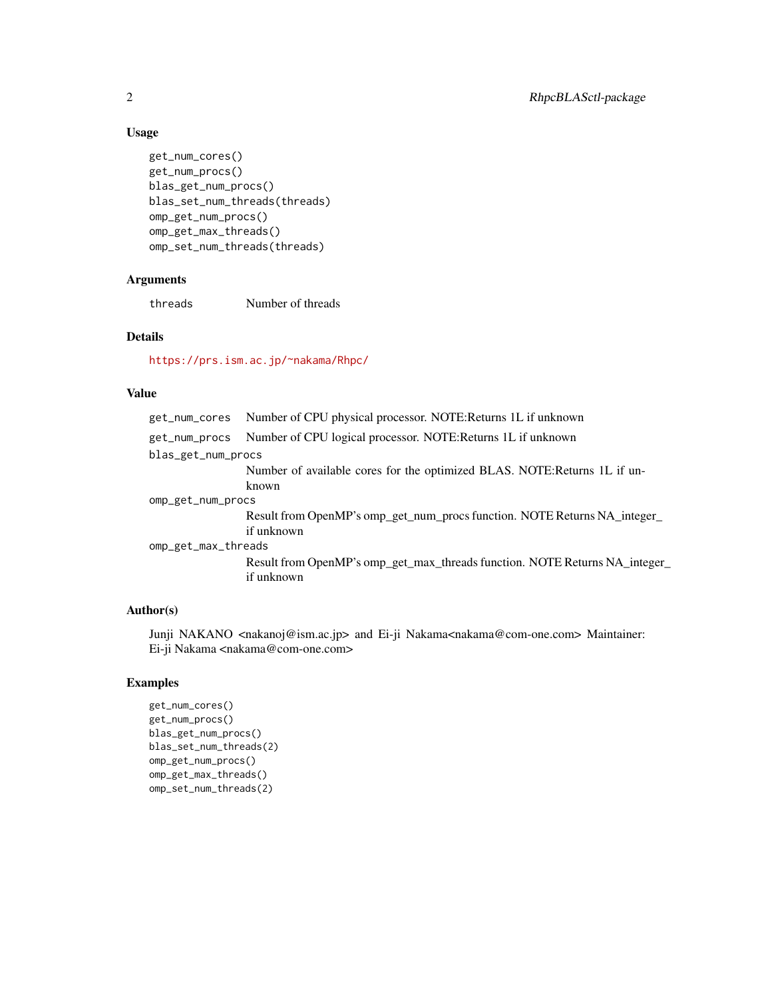#### Usage

```
get_num_cores()
get_num_procs()
blas_get_num_procs()
blas_set_num_threads(threads)
omp_get_num_procs()
omp_get_max_threads()
omp_set_num_threads(threads)
```
#### Arguments

threads Number of threads

#### Details

<https://prs.ism.ac.jp/~nakama/Rhpc/>

#### Value

|                     | get_num_cores Number of CPU physical processor. NOTE:Returns 1L if unknown  |
|---------------------|-----------------------------------------------------------------------------|
| get_num_procs       | Number of CPU logical processor. NOTE: Returns 1L if unknown                |
| blas_get_num_procs  |                                                                             |
|                     | Number of available cores for the optimized BLAS. NOTE: Returns 1L if un-   |
|                     | known                                                                       |
| omp_get_num_procs   |                                                                             |
|                     | Result from OpenMP's omp_get_num_procs function. NOTE Returns NA_integer_   |
|                     | if unknown                                                                  |
| omp_get_max_threads |                                                                             |
|                     | Result from OpenMP's omp_get_max_threads function. NOTE Returns NA_integer_ |
|                     | if unknown                                                                  |
|                     |                                                                             |

#### Author(s)

Junji NAKANO <nakanoj@ism.ac.jp> and Ei-ji Nakama<nakama@com-one.com> Maintainer: Ei-ji Nakama <nakama@com-one.com>

#### Examples

```
get_num_cores()
get_num_procs()
blas_get_num_procs()
blas_set_num_threads(2)
omp_get_num_procs()
omp_get_max_threads()
omp_set_num_threads(2)
```